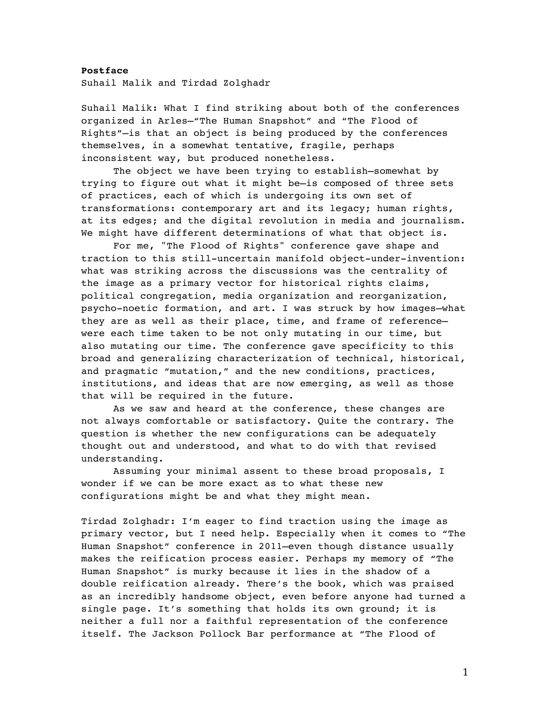**Postface** Suhail Malik and Tirdad Zolghadr

Suhail Malik: What I find striking about both of the conferences organized in Arles—"The Human Snapshot" and "The Flood of Rights"—is that an object is being produced by the conferences themselves, in a somewhat tentative, fragile, perhaps inconsistent way, but produced nonetheless.

The object we have been trying to establish—somewhat by trying to figure out what it might be—is composed of three sets of practices, each of which is undergoing its own set of transformations: contemporary art and its legacy; human rights, at its edges; and the digital revolution in media and journalism. We might have different determinations of what that object is.

For me, "The Flood of Rights" conference gave shape and traction to this still-uncertain manifold object-under-invention: what was striking across the discussions was the centrality of the image as a primary vector for historical rights claims, political congregation, media organization and reorganization, psycho-noetic formation, and art. I was struck by how images—what they are as well as their place, time, and frame of reference were each time taken to be not only mutating in our time, but also mutating our time. The conference gave specificity to this broad and generalizing characterization of technical, historical, and pragmatic "mutation," and the new conditions, practices, institutions, and ideas that are now emerging, as well as those that will be required in the future.

As we saw and heard at the conference, these changes are not always comfortable or satisfactory. Quite the contrary. The question is whether the new configurations can be adequately thought out and understood, and what to do with that revised understanding.

Assuming your minimal assent to these broad proposals, I wonder if we can be more exact as to what these new configurations might be and what they might mean.

Tirdad Zolghadr: I'm eager to find traction using the image as primary vector, but I need help. Especially when it comes to "The Human Snapshot" conference in 2011—even though distance usually makes the reification process easier. Perhaps my memory of "The Human Snapshot" is murky because it lies in the shadow of a double reification already. There's the book, which was praised as an incredibly handsome object, even before anyone had turned a single page. It's something that holds its own ground; it is neither a full nor a faithful representation of the conference itself. The Jackson Pollock Bar performance at "The Flood of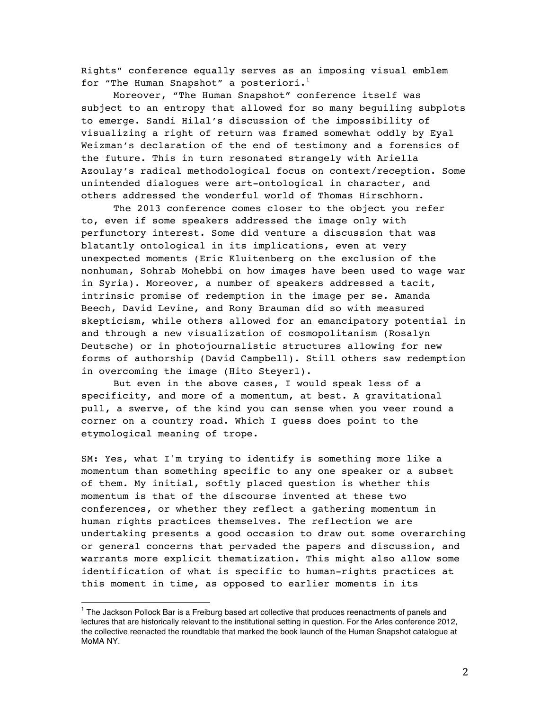Rights" conference equally serves as an imposing visual emblem for "The Human Snapshot" a posteriori. $1$ 

Moreover, "The Human Snapshot" conference itself was subject to an entropy that allowed for so many beguiling subplots to emerge. Sandi Hilal's discussion of the impossibility of visualizing a right of return was framed somewhat oddly by Eyal Weizman's declaration of the end of testimony and a forensics of the future. This in turn resonated strangely with Ariella Azoulay's radical methodological focus on context/reception. Some unintended dialogues were art-ontological in character, and others addressed the wonderful world of Thomas Hirschhorn.

The 2013 conference comes closer to the object you refer to, even if some speakers addressed the image only with perfunctory interest. Some did venture a discussion that was blatantly ontological in its implications, even at very unexpected moments (Eric Kluitenberg on the exclusion of the nonhuman, Sohrab Mohebbi on how images have been used to wage war in Syria). Moreover, a number of speakers addressed a tacit, intrinsic promise of redemption in the image per se. Amanda Beech, David Levine, and Rony Brauman did so with measured skepticism, while others allowed for an emancipatory potential in and through a new visualization of cosmopolitanism (Rosalyn Deutsche) or in photojournalistic structures allowing for new forms of authorship (David Campbell). Still others saw redemption in overcoming the image (Hito Steyerl).

But even in the above cases, I would speak less of a specificity, and more of a momentum, at best. A gravitational pull, a swerve, of the kind you can sense when you veer round a corner on a country road. Which I guess does point to the etymological meaning of trope.

SM: Yes, what I'm trying to identify is something more like a momentum than something specific to any one speaker or a subset of them. My initial, softly placed question is whether this momentum is that of the discourse invented at these two conferences, or whether they reflect a gathering momentum in human rights practices themselves. The reflection we are undertaking presents a good occasion to draw out some overarching or general concerns that pervaded the papers and discussion, and warrants more explicit thematization. This might also allow some identification of what is specific to human-rights practices at this moment in time, as opposed to earlier moments in its

 

<sup>&</sup>lt;sup>1</sup> The Jackson Pollock Bar is a Freiburg based art collective that produces reenactments of panels and lectures that are historically relevant to the institutional setting in question. For the Arles conference 2012, the collective reenacted the roundtable that marked the book launch of the Human Snapshot catalogue at MoMA NY.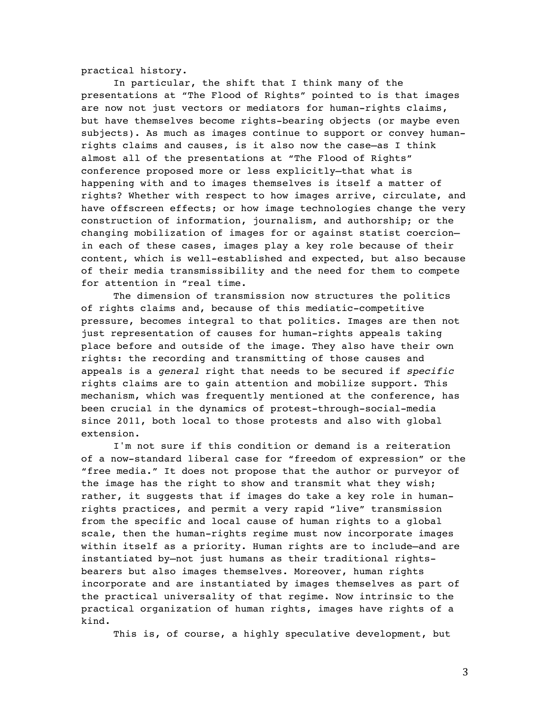practical history.

In particular, the shift that I think many of the presentations at "The Flood of Rights" pointed to is that images are now not just vectors or mediators for human-rights claims, but have themselves become rights-bearing objects (or maybe even subjects). As much as images continue to support or convey humanrights claims and causes, is it also now the case—as I think almost all of the presentations at "The Flood of Rights" conference proposed more or less explicitly—that what is happening with and to images themselves is itself a matter of rights? Whether with respect to how images arrive, circulate, and have offscreen effects; or how image technologies change the very construction of information, journalism, and authorship; or the changing mobilization of images for or against statist coercion in each of these cases, images play a key role because of their content, which is well-established and expected, but also because of their media transmissibility and the need for them to compete for attention in "real time.

The dimension of transmission now structures the politics of rights claims and, because of this mediatic-competitive pressure, becomes integral to that politics. Images are then not just representation of causes for human-rights appeals taking place before and outside of the image. They also have their own rights: the recording and transmitting of those causes and appeals is a *general* right that needs to be secured if *specific* rights claims are to gain attention and mobilize support. This mechanism, which was frequently mentioned at the conference, has been crucial in the dynamics of protest-through-social-media since 2011, both local to those protests and also with global extension.

I'm not sure if this condition or demand is a reiteration of a now-standard liberal case for "freedom of expression" or the "free media." It does not propose that the author or purveyor of the image has the right to show and transmit what they wish; rather, it suggests that if images do take a key role in humanrights practices, and permit a very rapid "live" transmission from the specific and local cause of human rights to a global scale, then the human-rights regime must now incorporate images within itself as a priority. Human rights are to include—and are instantiated by—not just humans as their traditional rightsbearers but also images themselves. Moreover, human rights incorporate and are instantiated by images themselves as part of the practical universality of that regime. Now intrinsic to the practical organization of human rights, images have rights of a kind.

This is, of course, a highly speculative development, but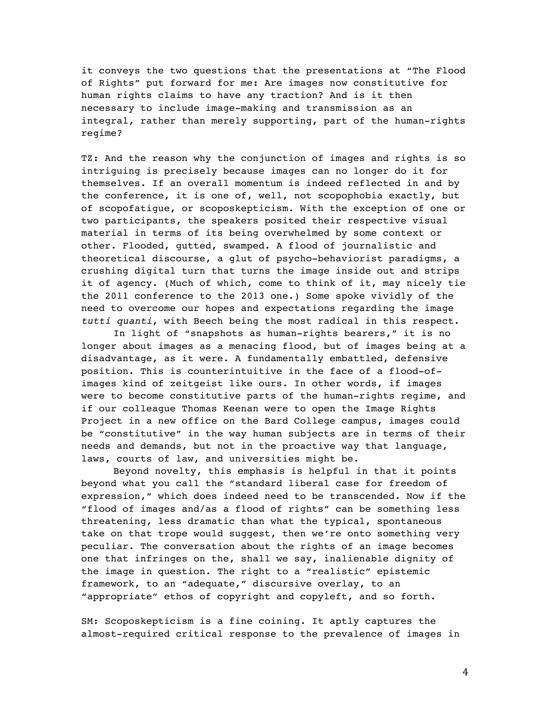it conveys the two questions that the presentations at "The Flood of Rights" put forward for me: Are images now constitutive for human rights claims to have any traction? And is it then necessary to include image-making and transmission as an integral, rather than merely supporting, part of the human-rights regime?

TZ: And the reason why the conjunction of images and rights is so intriguing is precisely because images can no longer do it for themselves. If an overall momentum is indeed reflected in and by the conference, it is one of, well, not scopophobia exactly, but of scopofatigue, or scoposkepticism. With the exception of one or two participants, the speakers posited their respective visual material in terms of its being overwhelmed by some context or other. Flooded, gutted, swamped. A flood of journalistic and theoretical discourse, a glut of psycho-behaviorist paradigms, a crushing digital turn that turns the image inside out and strips it of agency. (Much of which, come to think of it, may nicely tie the 2011 conference to the 2013 one.) Some spoke vividly of the need to overcome our hopes and expectations regarding the image *tutti quanti*, with Beech being the most radical in this respect.

In light of "snapshots as human-rights bearers," it is no longer about images as a menacing flood, but of images being at a disadvantage, as it were. A fundamentally embattled, defensive position. This is counterintuitive in the face of a flood-ofimages kind of zeitgeist like ours. In other words, if images were to become constitutive parts of the human-rights regime, and if our colleague Thomas Keenan were to open the Image Rights Project in a new office on the Bard College campus, images could be "constitutive" in the way human subjects are in terms of their needs and demands, but not in the proactive way that language, laws, courts of law, and universities might be.

Beyond novelty, this emphasis is helpful in that it points beyond what you call the "standard liberal case for freedom of expression," which does indeed need to be transcended. Now if the "flood of images and/as a flood of rights" can be something less threatening, less dramatic than what the typical, spontaneous take on that trope would suggest, then we're onto something very peculiar. The conversation about the rights of an image becomes one that infringes on the, shall we say, inalienable dignity of the image in question. The right to a "realistic" epistemic framework, to an "adequate," discursive overlay, to an "appropriate" ethos of copyright and copyleft, and so forth.

SM: Scoposkepticism is a fine coining. It aptly captures the almost-required critical response to the prevalence of images in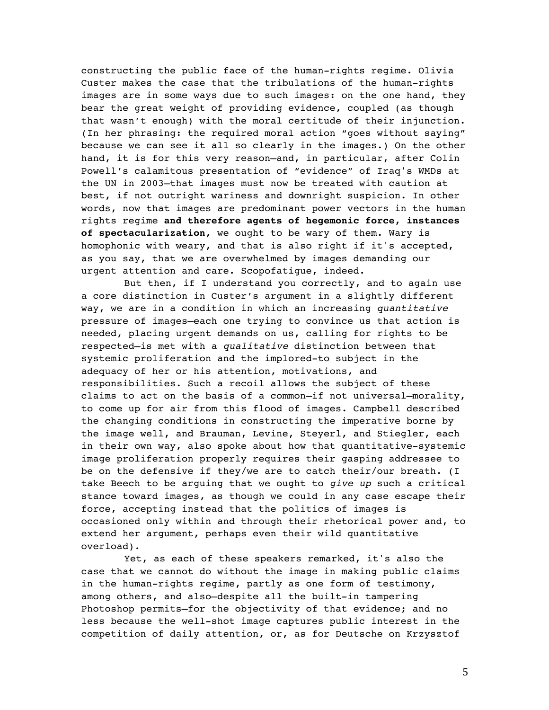constructing the public face of the human-rights regime. Olivia Custer makes the case that the tribulations of the human-rights images are in some ways due to such images: on the one hand, they bear the great weight of providing evidence, coupled (as though that wasn't enough) with the moral certitude of their injunction. (In her phrasing: the required moral action "goes without saying" because we can see it all so clearly in the images.) On the other hand, it is for this very reason—and, in particular, after Colin Powell's calamitous presentation of "evidence" of Iraq's WMDs at the UN in 2003—that images must now be treated with caution at best, if not outright wariness and downright suspicion. In other words, now that images are predominant power vectors in the human rights regime **and therefore agents of hegemonic force, instances of spectacularization,** we ought to be wary of them. Wary is homophonic with weary, and that is also right if it's accepted, as you say, that we are overwhelmed by images demanding our urgent attention and care. Scopofatigue, indeed.

But then, if I understand you correctly, and to again use a core distinction in Custer's argument in a slightly different way, we are in a condition in which an increasing *quantitative* pressure of images—each one trying to convince us that action is needed, placing urgent demands on us, calling for rights to be respected—is met with a *qualitative* distinction between that systemic proliferation and the implored-to subject in the adequacy of her or his attention, motivations, and responsibilities. Such a recoil allows the subject of these claims to act on the basis of a common—if not universal—morality, to come up for air from this flood of images. Campbell described the changing conditions in constructing the imperative borne by the image well, and Brauman, Levine, Steyerl, and Stiegler, each in their own way, also spoke about how that quantitative-systemic image proliferation properly requires their gasping addressee to be on the defensive if they/we are to catch their/our breath. (I take Beech to be arguing that we ought to *give up* such a critical stance toward images, as though we could in any case escape their force, accepting instead that the politics of images is occasioned only within and through their rhetorical power and, to extend her argument, perhaps even their wild quantitative overload).

Yet, as each of these speakers remarked, it's also the case that we cannot do without the image in making public claims in the human-rights regime, partly as one form of testimony, among others, and also—despite all the built-in tampering Photoshop permits—for the objectivity of that evidence; and no less because the well-shot image captures public interest in the competition of daily attention, or, as for Deutsche on Krzysztof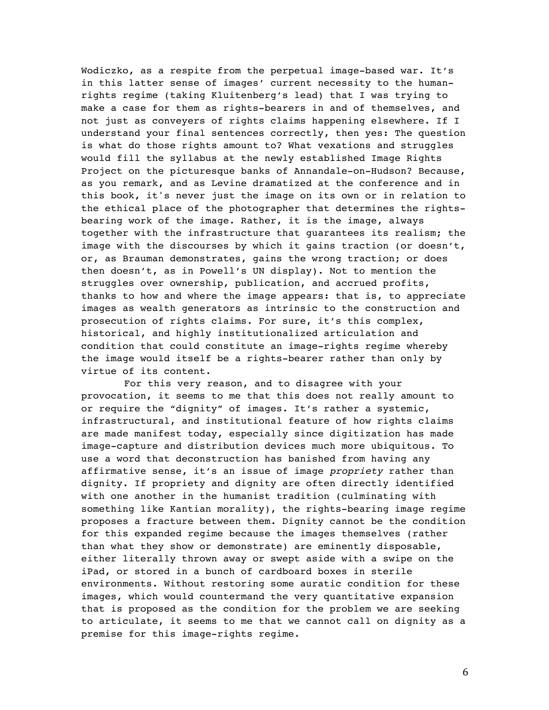Wodiczko, as a respite from the perpetual image-based war. It's in this latter sense of images' current necessity to the humanrights regime (taking Kluitenberg's lead) that I was trying to make a case for them as rights-bearers in and of themselves, and not just as conveyers of rights claims happening elsewhere. If I understand your final sentences correctly, then yes: The question is what do those rights amount to? What vexations and struggles would fill the syllabus at the newly established Image Rights Project on the picturesque banks of Annandale-on-Hudson? Because, as you remark, and as Levine dramatized at the conference and in this book, it's never just the image on its own or in relation to the ethical place of the photographer that determines the rightsbearing work of the image. Rather, it is the image, always together with the infrastructure that guarantees its realism; the image with the discourses by which it gains traction (or doesn't, or, as Brauman demonstrates, gains the wrong traction; or does then doesn't, as in Powell's UN display). Not to mention the struggles over ownership, publication, and accrued profits, thanks to how and where the image appears: that is, to appreciate images as wealth generators as intrinsic to the construction and prosecution of rights claims. For sure, it's this complex, historical, and highly institutionalized articulation and condition that could constitute an image-rights regime whereby the image would itself be a rights-bearer rather than only by virtue of its content.

For this very reason, and to disagree with your provocation, it seems to me that this does not really amount to or require the "dignity" of images. It's rather a systemic, infrastructural, and institutional feature of how rights claims are made manifest today, especially since digitization has made image-capture and distribution devices much more ubiquitous. To use a word that deconstruction has banished from having any affirmative sense, it's an issue of image *propriety* rather than dignity. If propriety and dignity are often directly identified with one another in the humanist tradition (culminating with something like Kantian morality), the rights-bearing image regime proposes a fracture between them. Dignity cannot be the condition for this expanded regime because the images themselves (rather than what they show or demonstrate) are eminently disposable, either literally thrown away or swept aside with a swipe on the iPad, or stored in a bunch of cardboard boxes in sterile environments. Without restoring some auratic condition for these images, which would countermand the very quantitative expansion that is proposed as the condition for the problem we are seeking to articulate, it seems to me that we cannot call on dignity as a premise for this image-rights regime.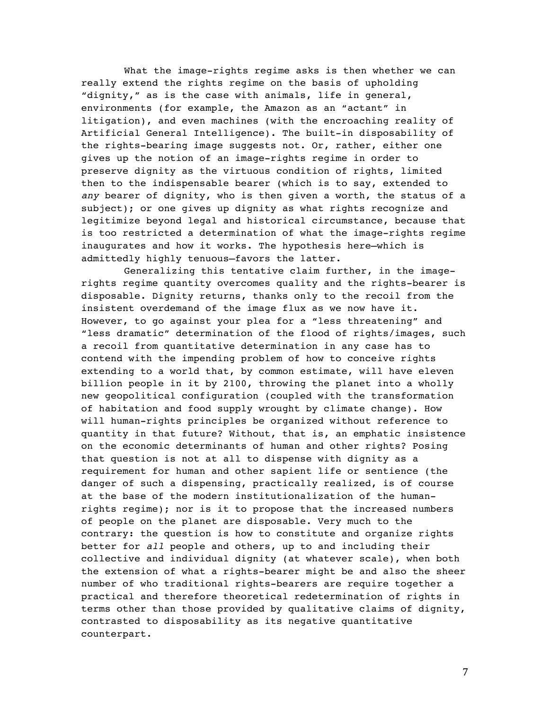What the image-rights regime asks is then whether we can really extend the rights regime on the basis of upholding "dignity," as is the case with animals, life in general, environments (for example, the Amazon as an "actant" in litigation), and even machines (with the encroaching reality of Artificial General Intelligence). The built-in disposability of the rights-bearing image suggests not. Or, rather, either one gives up the notion of an image-rights regime in order to preserve dignity as the virtuous condition of rights, limited then to the indispensable bearer (which is to say, extended to *any* bearer of dignity, who is then given a worth, the status of a subject); or one gives up dignity as what rights recognize and legitimize beyond legal and historical circumstance, because that is too restricted a determination of what the image-rights regime inaugurates and how it works. The hypothesis here—which is admittedly highly tenuous—favors the latter.

Generalizing this tentative claim further, in the imagerights regime quantity overcomes quality and the rights-bearer is disposable. Dignity returns, thanks only to the recoil from the insistent overdemand of the image flux as we now have it. However, to go against your plea for a "less threatening" and "less dramatic" determination of the flood of rights/images, such a recoil from quantitative determination in any case has to contend with the impending problem of how to conceive rights extending to a world that, by common estimate, will have eleven billion people in it by 2100, throwing the planet into a wholly new geopolitical configuration (coupled with the transformation of habitation and food supply wrought by climate change). How will human-rights principles be organized without reference to quantity in that future? Without, that is, an emphatic insistence on the economic determinants of human and other rights? Posing that question is not at all to dispense with dignity as a requirement for human and other sapient life or sentience (the danger of such a dispensing, practically realized, is of course at the base of the modern institutionalization of the humanrights regime); nor is it to propose that the increased numbers of people on the planet are disposable. Very much to the contrary: the question is how to constitute and organize rights better for *all* people and others, up to and including their collective and individual dignity (at whatever scale), when both the extension of what a rights-bearer might be and also the sheer number of who traditional rights-bearers are require together a practical and therefore theoretical redetermination of rights in terms other than those provided by qualitative claims of dignity, contrasted to disposability as its negative quantitative counterpart.

7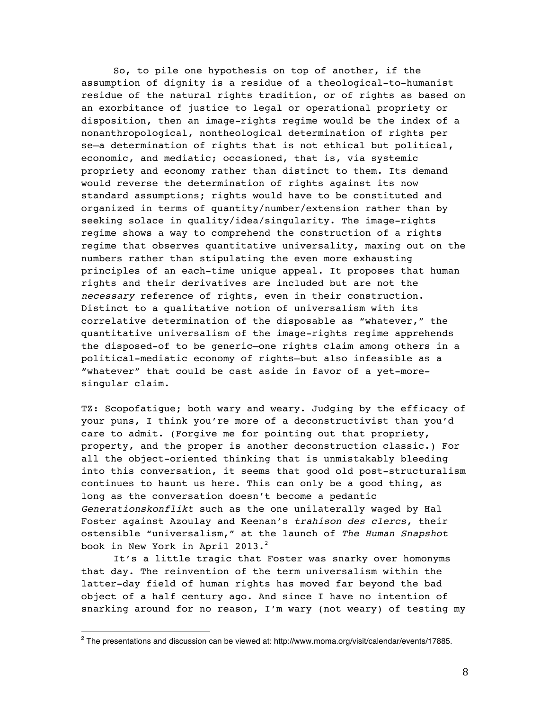So, to pile one hypothesis on top of another, if the assumption of dignity is a residue of a theological-to-humanist residue of the natural rights tradition, or of rights as based on an exorbitance of justice to legal or operational propriety or disposition, then an image-rights regime would be the index of a nonanthropological, nontheological determination of rights per se—a determination of rights that is not ethical but political, economic, and mediatic; occasioned, that is, via systemic propriety and economy rather than distinct to them. Its demand would reverse the determination of rights against its now standard assumptions; rights would have to be constituted and organized in terms of quantity/number/extension rather than by seeking solace in quality/idea/singularity. The image-rights regime shows a way to comprehend the construction of a rights regime that observes quantitative universality, maxing out on the numbers rather than stipulating the even more exhausting principles of an each-time unique appeal. It proposes that human rights and their derivatives are included but are not the *necessary* reference of rights, even in their construction. Distinct to a qualitative notion of universalism with its correlative determination of the disposable as "whatever," the quantitative universalism of the image-rights regime apprehends the disposed-of to be generic—one rights claim among others in a political-mediatic economy of rights—but also infeasible as a "whatever" that could be cast aside in favor of a yet-moresingular claim.

TZ: Scopofatigue; both wary and weary. Judging by the efficacy of your puns, I think you're more of a deconstructivist than you'd care to admit. (Forgive me for pointing out that propriety, property, and the proper is another deconstruction classic.) For all the object-oriented thinking that is unmistakably bleeding into this conversation, it seems that good old post-structuralism continues to haunt us here. This can only be a good thing, as long as the conversation doesn't become a pedantic *Generationskonflikt* such as the one unilaterally waged by Hal Foster against Azoulay and Keenan's *trahison des clercs*, their ostensible "universalism," at the launch of *The Human Snapshot*  book in New York in April 2013.<sup>2</sup>

It's a little tragic that Foster was snarky over homonyms that day. The reinvention of the term universalism within the latter-day field of human rights has moved far beyond the bad object of a half century ago. And since I have no intention of snarking around for no reason, I'm wary (not weary) of testing my

 

 $2$  The presentations and discussion can be viewed at: http://www.moma.org/visit/calendar/events/17885.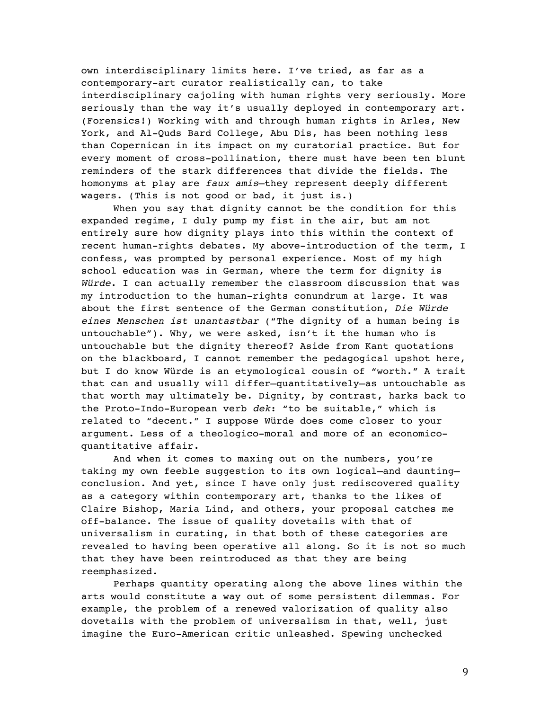own interdisciplinary limits here. I've tried, as far as a contemporary-art curator realistically can, to take interdisciplinary cajoling with human rights very seriously. More seriously than the way it's usually deployed in contemporary art. (Forensics!) Working with and through human rights in Arles, New York, and Al-Quds Bard College, Abu Dis, has been nothing less than Copernican in its impact on my curatorial practice. But for every moment of cross-pollination, there must have been ten blunt reminders of the stark differences that divide the fields. The homonyms at play are *faux amis*—they represent deeply different wagers. (This is not good or bad, it just is.)

When you say that dignity cannot be the condition for this expanded regime, I duly pump my fist in the air, but am not entirely sure how dignity plays into this within the context of recent human-rights debates. My above-introduction of the term, I confess, was prompted by personal experience. Most of my high school education was in German, where the term for dignity is *Würde*. I can actually remember the classroom discussion that was my introduction to the human-rights conundrum at large. It was about the first sentence of the German constitution, *Die Würde eines Menschen ist unantastbar* ("The dignity of a human being is untouchable"). Why, we were asked, isn't it the human who is untouchable but the dignity thereof? Aside from Kant quotations on the blackboard, I cannot remember the pedagogical upshot here, but I do know Würde is an etymological cousin of "worth." A trait that can and usually will differ—quantitatively—as untouchable as that worth may ultimately be. Dignity, by contrast, harks back to the Proto-Indo-European verb *dek*: "to be suitable," which is related to "decent." I suppose Würde does come closer to your argument. Less of a theologico-moral and more of an economicoquantitative affair.

And when it comes to maxing out on the numbers, you're taking my own feeble suggestion to its own logical—and daunting conclusion. And yet, since I have only just rediscovered quality as a category within contemporary art, thanks to the likes of Claire Bishop, Maria Lind, and others, your proposal catches me off-balance. The issue of quality dovetails with that of universalism in curating, in that both of these categories are revealed to having been operative all along. So it is not so much that they have been reintroduced as that they are being reemphasized.

Perhaps quantity operating along the above lines within the arts would constitute a way out of some persistent dilemmas. For example, the problem of a renewed valorization of quality also dovetails with the problem of universalism in that, well, just imagine the Euro-American critic unleashed. Spewing unchecked